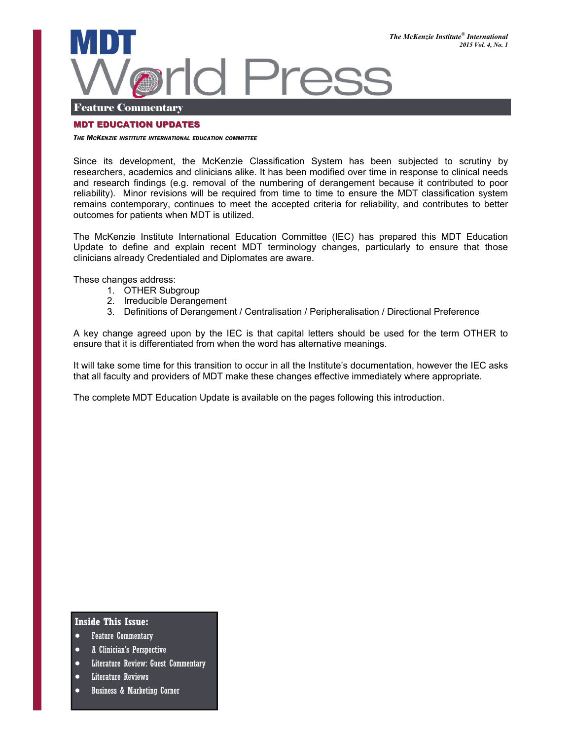

#### Feature Commentary

#### MDT EDUCATION UPDATES

#### *THE MCKENZIE INSTITUTE INTERNATIONAL EDUCATION COMMITTEE*

Since its development, the McKenzie Classification System has been subjected to scrutiny by researchers, academics and clinicians alike. It has been modified over time in response to clinical needs and research findings (e.g. removal of the numbering of derangement because it contributed to poor reliability). Minor revisions will be required from time to time to ensure the MDT classification system remains contemporary, continues to meet the accepted criteria for reliability, and contributes to better outcomes for patients when MDT is utilized.

The McKenzie Institute International Education Committee (IEC) has prepared this MDT Education Update to define and explain recent MDT terminology changes, particularly to ensure that those clinicians already Credentialed and Diplomates are aware.

These changes address:

- 1. OTHER Subgroup
- 2. Irreducible Derangement
- 3. Definitions of Derangement / Centralisation / Peripheralisation / Directional Preference

A key change agreed upon by the IEC is that capital letters should be used for the term OTHER to ensure that it is differentiated from when the word has alternative meanings.

It will take some time for this transition to occur in all the Institute's documentation, however the IEC asks that all faculty and providers of MDT make these changes effective immediately where appropriate.

The complete MDT Education Update is available on the pages following this introduction.

#### **Inside This Issue:**

- Feature Commentary
- A Clinician's Perspective
- Literature Review: Guest Commentary
- Literature Reviews
- Business & Marketing Corner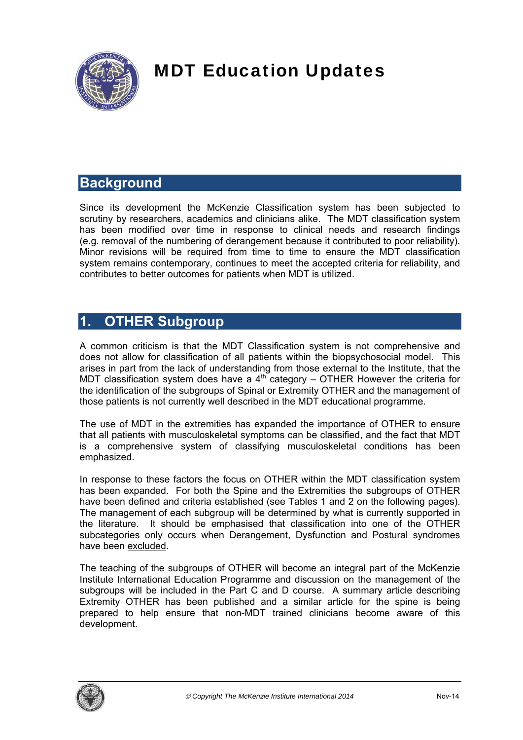

# MDT Education Updates

# **Background**

Since its development the McKenzie Classification system has been subjected to scrutiny by researchers, academics and clinicians alike. The MDT classification system has been modified over time in response to clinical needs and research findings (e.g. removal of the numbering of derangement because it contributed to poor reliability). Minor revisions will be required from time to time to ensure the MDT classification system remains contemporary, continues to meet the accepted criteria for reliability, and contributes to better outcomes for patients when MDT is utilized.

# **1. OTHER Subgroup**

A common criticism is that the MDT Classification system is not comprehensive and does not allow for classification of all patients within the biopsychosocial model. This arises in part from the lack of understanding from those external to the Institute, that the MDT classification system does have a  $4<sup>th</sup>$  category – OTHER However the criteria for the identification of the subgroups of Spinal or Extremity OTHER and the management of those patients is not currently well described in the MDT educational programme.

The use of MDT in the extremities has expanded the importance of OTHER to ensure that all patients with musculoskeletal symptoms can be classified, and the fact that MDT is a comprehensive system of classifying musculoskeletal conditions has been emphasized.

In response to these factors the focus on OTHER within the MDT classification system has been expanded. For both the Spine and the Extremities the subgroups of OTHER have been defined and criteria established (see Tables 1 and 2 on the following pages). The management of each subgroup will be determined by what is currently supported in the literature. It should be emphasised that classification into one of the OTHER subcategories only occurs when Derangement, Dysfunction and Postural syndromes have been excluded.

The teaching of the subgroups of OTHER will become an integral part of the McKenzie Institute International Education Programme and discussion on the management of the subgroups will be included in the Part C and D course. A summary article describing Extremity OTHER has been published and a similar article for the spine is being prepared to help ensure that non-MDT trained clinicians become aware of this development.

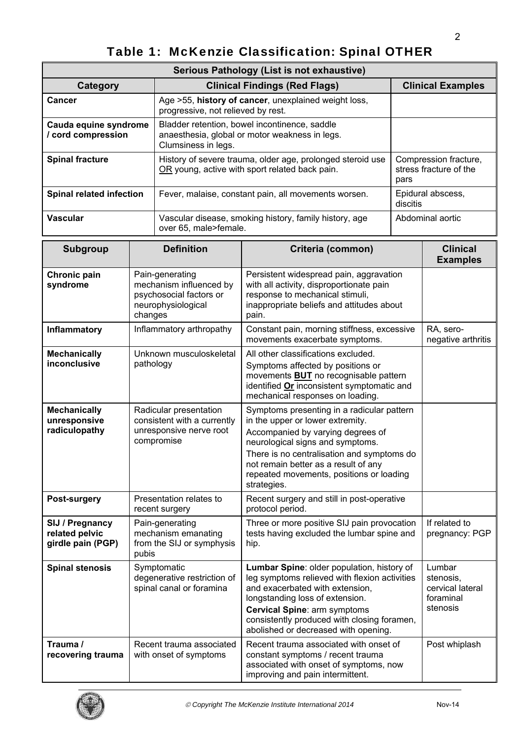# Table 1: McKenzie Classification: Spinal OTHER

| Serious Pathology (List is not exhaustive)  |                                                                                                                        |                                                         |  |
|---------------------------------------------|------------------------------------------------------------------------------------------------------------------------|---------------------------------------------------------|--|
| Category                                    | <b>Clinical Findings (Red Flags)</b>                                                                                   | <b>Clinical Examples</b>                                |  |
| <b>Cancer</b>                               | Age >55, history of cancer, unexplained weight loss,<br>progressive, not relieved by rest.                             |                                                         |  |
| Cauda equine syndrome<br>/ cord compression | Bladder retention, bowel incontinence, saddle<br>anaesthesia, global or motor weakness in legs.<br>Clumsiness in legs. |                                                         |  |
| <b>Spinal fracture</b>                      | History of severe trauma, older age, prolonged steroid use<br>OR young, active with sport related back pain.           | Compression fracture,<br>stress fracture of the<br>pars |  |
| <b>Spinal related infection</b>             | Fever, malaise, constant pain, all movements worsen.                                                                   | Epidural abscess,<br>discitis                           |  |
| <b>Vascular</b>                             | Vascular disease, smoking history, family history, age<br>over 65, male>female.                                        | Abdominal aortic                                        |  |

| <b>Subgroup</b>                                        | <b>Definition</b>                                                                                      | Criteria (common)                                                                                                                                                                                                                                                                                        | <b>Clinical</b><br><b>Examples</b>                               |
|--------------------------------------------------------|--------------------------------------------------------------------------------------------------------|----------------------------------------------------------------------------------------------------------------------------------------------------------------------------------------------------------------------------------------------------------------------------------------------------------|------------------------------------------------------------------|
| Chronic pain<br>syndrome                               | Pain-generating<br>mechanism influenced by<br>psychosocial factors or<br>neurophysiological<br>changes | Persistent widespread pain, aggravation<br>with all activity, disproportionate pain<br>response to mechanical stimuli,<br>inappropriate beliefs and attitudes about<br>pain.                                                                                                                             |                                                                  |
| <b>Inflammatory</b>                                    | Inflammatory arthropathy                                                                               | Constant pain, morning stiffness, excessive<br>movements exacerbate symptoms.                                                                                                                                                                                                                            | RA, sero-<br>negative arthritis                                  |
| <b>Mechanically</b><br>inconclusive                    | Unknown musculoskeletal<br>pathology                                                                   | All other classifications excluded.<br>Symptoms affected by positions or<br>movements <b>BUT</b> no recognisable pattern<br>identified Or inconsistent symptomatic and<br>mechanical responses on loading.                                                                                               |                                                                  |
| <b>Mechanically</b><br>unresponsive<br>radiculopathy   | Radicular presentation<br>consistent with a currently<br>unresponsive nerve root<br>compromise         | Symptoms presenting in a radicular pattern<br>in the upper or lower extremity.<br>Accompanied by varying degrees of<br>neurological signs and symptoms.<br>There is no centralisation and symptoms do<br>not remain better as a result of any<br>repeated movements, positions or loading<br>strategies. |                                                                  |
| Post-surgery                                           | Presentation relates to<br>recent surgery                                                              | Recent surgery and still in post-operative<br>protocol period.                                                                                                                                                                                                                                           |                                                                  |
| SIJ / Pregnancy<br>related pelvic<br>girdle pain (PGP) | Pain-generating<br>mechanism emanating<br>from the SIJ or symphysis<br>pubis                           | Three or more positive SIJ pain provocation<br>tests having excluded the lumbar spine and<br>hip.                                                                                                                                                                                                        | If related to<br>pregnancy: PGP                                  |
| <b>Spinal stenosis</b>                                 | Symptomatic<br>degenerative restriction of<br>spinal canal or foramina                                 | Lumbar Spine: older population, history of<br>leg symptoms relieved with flexion activities<br>and exacerbated with extension,<br>longstanding loss of extension.<br><b>Cervical Spine: arm symptoms</b><br>consistently produced with closing foramen,<br>abolished or decreased with opening.          | Lumbar<br>stenosis,<br>cervical lateral<br>foraminal<br>stenosis |
| Trauma /<br>recovering trauma                          | Recent trauma associated<br>with onset of symptoms                                                     | Recent trauma associated with onset of<br>constant symptoms / recent trauma<br>associated with onset of symptoms, now<br>improving and pain intermittent.                                                                                                                                                | Post whiplash                                                    |

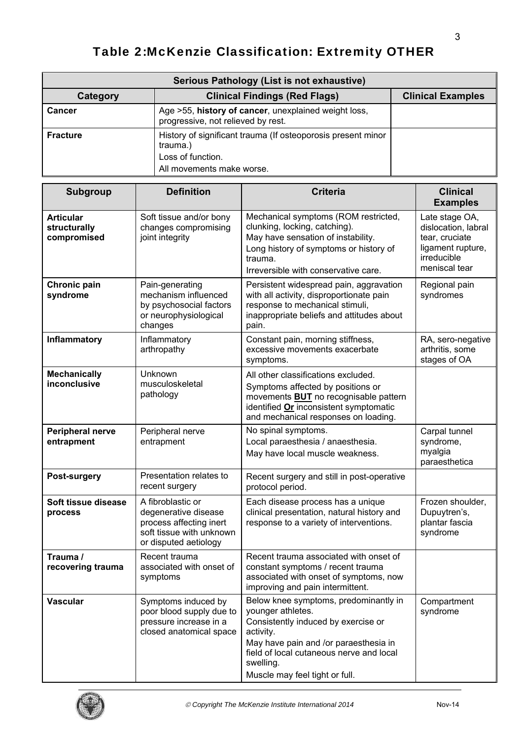# Table 2:McKenzie Classification: Extremity OTHER

| Serious Pathology (List is not exhaustive) |                                                                                                                            |  |  |
|--------------------------------------------|----------------------------------------------------------------------------------------------------------------------------|--|--|
| Category                                   | <b>Clinical Examples</b><br><b>Clinical Findings (Red Flags)</b>                                                           |  |  |
| <b>Cancer</b>                              | Age >55, history of cancer, unexplained weight loss,<br>progressive, not relieved by rest.                                 |  |  |
| <b>Fracture</b>                            | History of significant trauma (If osteoporosis present minor<br>trauma.)<br>Loss of function.<br>All movements make worse. |  |  |

| <b>Subgroup</b>                                 | <b>Definition</b>                                                                                                         | <b>Criteria</b>                                                                                                                                                                                                                                    | <b>Clinical</b><br><b>Examples</b>                                                                           |
|-------------------------------------------------|---------------------------------------------------------------------------------------------------------------------------|----------------------------------------------------------------------------------------------------------------------------------------------------------------------------------------------------------------------------------------------------|--------------------------------------------------------------------------------------------------------------|
| <b>Articular</b><br>structurally<br>compromised | Soft tissue and/or bony<br>changes compromising<br>joint integrity                                                        | Mechanical symptoms (ROM restricted,<br>clunking, locking, catching).<br>May have sensation of instability.<br>Long history of symptoms or history of<br>trauma.<br>Irreversible with conservative care.                                           | Late stage OA,<br>dislocation, labral<br>tear, cruciate<br>ligament rupture,<br>irreducible<br>meniscal tear |
| Chronic pain<br>syndrome                        | Pain-generating<br>mechanism influenced<br>by psychosocial factors<br>or neurophysiological<br>changes                    | Persistent widespread pain, aggravation<br>with all activity, disproportionate pain<br>response to mechanical stimuli,<br>inappropriate beliefs and attitudes about<br>pain.                                                                       | Regional pain<br>syndromes                                                                                   |
| Inflammatory                                    | Inflammatory<br>arthropathy                                                                                               | Constant pain, morning stiffness,<br>excessive movements exacerbate<br>symptoms.                                                                                                                                                                   | RA, sero-negative<br>arthritis, some<br>stages of OA                                                         |
| <b>Mechanically</b><br>inconclusive             | Unknown<br>musculoskeletal<br>pathology                                                                                   | All other classifications excluded.<br>Symptoms affected by positions or<br>movements <b>BUT</b> no recognisable pattern<br>identified Or inconsistent symptomatic<br>and mechanical responses on loading.                                         |                                                                                                              |
| Peripheral nerve<br>entrapment                  | Peripheral nerve<br>entrapment                                                                                            | No spinal symptoms.<br>Local paraesthesia / anaesthesia.<br>May have local muscle weakness.                                                                                                                                                        | Carpal tunnel<br>syndrome,<br>myalgia<br>paraesthetica                                                       |
| Post-surgery                                    | Presentation relates to<br>recent surgery                                                                                 | Recent surgery and still in post-operative<br>protocol period.                                                                                                                                                                                     |                                                                                                              |
| Soft tissue disease<br>process                  | A fibroblastic or<br>degenerative disease<br>process affecting inert<br>soft tissue with unknown<br>or disputed aetiology | Each disease process has a unique<br>clinical presentation, natural history and<br>response to a variety of interventions.                                                                                                                         | Frozen shoulder,<br>Dupuytren's,<br>plantar fascia<br>syndrome                                               |
| Trauma /<br>recovering trauma                   | Recent trauma<br>associated with onset of<br>symptoms                                                                     | Recent trauma associated with onset of<br>constant symptoms / recent trauma<br>associated with onset of symptoms, now<br>improving and pain intermittent.                                                                                          |                                                                                                              |
| <b>Vascular</b>                                 | Symptoms induced by<br>poor blood supply due to<br>pressure increase in a<br>closed anatomical space                      | Below knee symptoms, predominantly in<br>younger athletes.<br>Consistently induced by exercise or<br>activity.<br>May have pain and /or paraesthesia in<br>field of local cutaneous nerve and local<br>swelling.<br>Muscle may feel tight or full. | Compartment<br>syndrome                                                                                      |

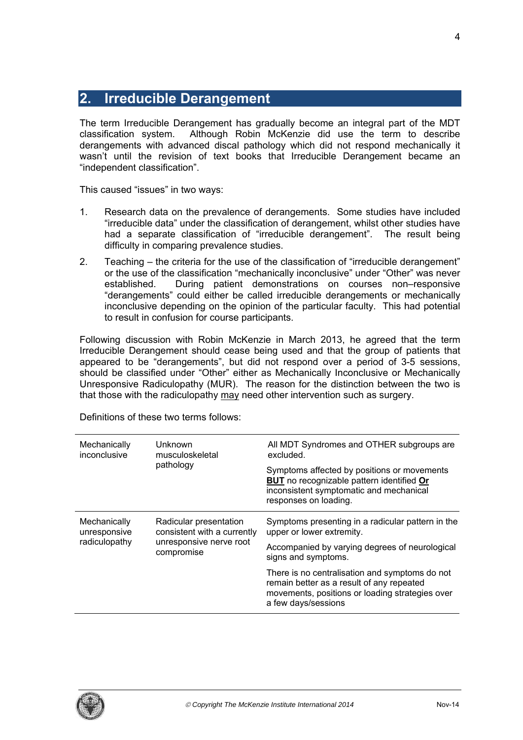# **2. Irreducible Derangement**

The term Irreducible Derangement has gradually become an integral part of the MDT classification system. Although Robin McKenzie did use the term to describe derangements with advanced discal pathology which did not respond mechanically it wasn't until the revision of text books that Irreducible Derangement became an "independent classification".

This caused "issues" in two ways:

- 1. Research data on the prevalence of derangements. Some studies have included "irreducible data" under the classification of derangement, whilst other studies have had a separate classification of "irreducible derangement". The result being difficulty in comparing prevalence studies.
- 2. Teaching the criteria for the use of the classification of "irreducible derangement" or the use of the classification "mechanically inconclusive" under "Other" was never established. During patient demonstrations on courses non–responsive "derangements" could either be called irreducible derangements or mechanically inconclusive depending on the opinion of the particular faculty. This had potential to result in confusion for course participants.

Following discussion with Robin McKenzie in March 2013, he agreed that the term Irreducible Derangement should cease being used and that the group of patients that appeared to be "derangements", but did not respond over a period of 3-5 sessions, should be classified under "Other" either as Mechanically Inconclusive or Mechanically Unresponsive Radiculopathy (MUR). The reason for the distinction between the two is that those with the radiculopathy may need other intervention such as surgery.

| Mechanically<br>inconclusive                  | Unknown<br>musculoskeletal<br>pathology                                                        | All MDT Syndromes and OTHER subgroups are<br>excluded.                                                                                                                |
|-----------------------------------------------|------------------------------------------------------------------------------------------------|-----------------------------------------------------------------------------------------------------------------------------------------------------------------------|
|                                               |                                                                                                | Symptoms affected by positions or movements<br><b>BUT</b> no recognizable pattern identified Or<br>inconsistent symptomatic and mechanical<br>responses on loading.   |
| Mechanically<br>unresponsive<br>radiculopathy | Radicular presentation<br>consistent with a currently<br>unresponsive nerve root<br>compromise | Symptoms presenting in a radicular pattern in the<br>upper or lower extremity.                                                                                        |
|                                               |                                                                                                | Accompanied by varying degrees of neurological<br>signs and symptoms.                                                                                                 |
|                                               |                                                                                                | There is no centralisation and symptoms do not<br>remain better as a result of any repeated<br>movements, positions or loading strategies over<br>a few days/sessions |

Definitions of these two terms follows:



4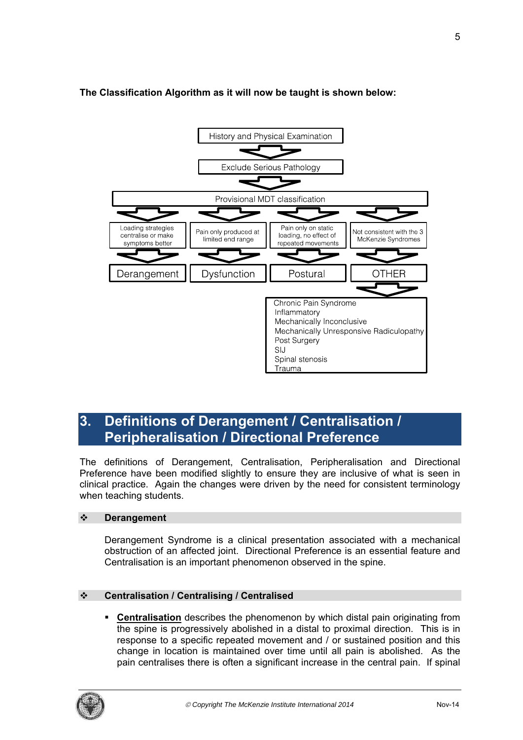

# **The Classification Algorithm as it will now be taught is shown below:**

# **3. Definitions of Derangement / Centralisation / Peripheralisation / Directional Preference**

The definitions of Derangement, Centralisation, Peripheralisation and Directional Preference have been modified slightly to ensure they are inclusive of what is seen in clinical practice. Again the changes were driven by the need for consistent terminology when teaching students.

# **Derangement**

Derangement Syndrome is a clinical presentation associated with a mechanical obstruction of an affected joint. Directional Preference is an essential feature and Centralisation is an important phenomenon observed in the spine.

# **Centralisation / Centralising / Centralised**

 **Centralisation** describes the phenomenon by which distal pain originating from the spine is progressively abolished in a distal to proximal direction. This is in response to a specific repeated movement and / or sustained position and this change in location is maintained over time until all pain is abolished. As the pain centralises there is often a significant increase in the central pain. If spinal

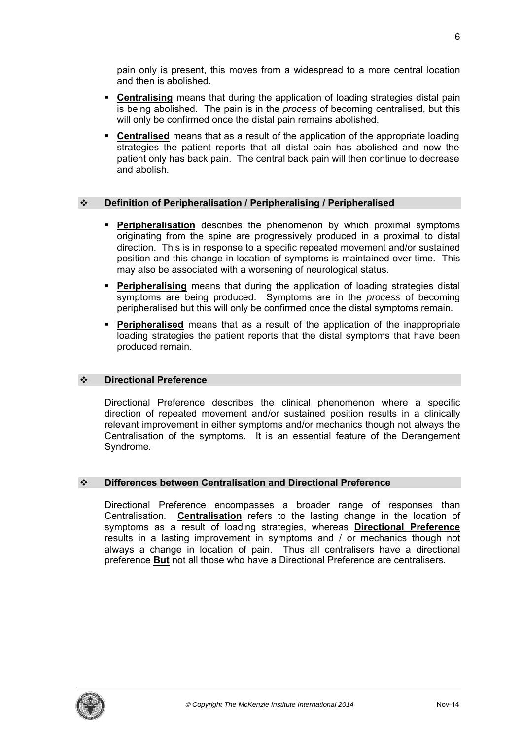pain only is present, this moves from a widespread to a more central location and then is abolished.

- **Centralising** means that during the application of loading strategies distal pain is being abolished. The pain is in the *process* of becoming centralised, but this will only be confirmed once the distal pain remains abolished.
- **Centralised** means that as a result of the application of the appropriate loading strategies the patient reports that all distal pain has abolished and now the patient only has back pain. The central back pain will then continue to decrease and abolish.

# **Definition of Peripheralisation / Peripheralising / Peripheralised**

- **Peripheralisation** describes the phenomenon by which proximal symptoms originating from the spine are progressively produced in a proximal to distal direction. This is in response to a specific repeated movement and/or sustained position and this change in location of symptoms is maintained over time. This may also be associated with a worsening of neurological status.
- **Peripheralising** means that during the application of loading strategies distal symptoms are being produced. Symptoms are in the *process* of becoming peripheralised but this will only be confirmed once the distal symptoms remain.
- **Peripheralised** means that as a result of the application of the inappropriate loading strategies the patient reports that the distal symptoms that have been produced remain.

## **Directional Preference**

Directional Preference describes the clinical phenomenon where a specific direction of repeated movement and/or sustained position results in a clinically relevant improvement in either symptoms and/or mechanics though not always the Centralisation of the symptoms. It is an essential feature of the Derangement Syndrome.

## **Differences between Centralisation and Directional Preference**

Directional Preference encompasses a broader range of responses than Centralisation. **Centralisation** refers to the lasting change in the location of symptoms as a result of loading strategies, whereas **Directional Preference** results in a lasting improvement in symptoms and / or mechanics though not always a change in location of pain. Thus all centralisers have a directional preference **But** not all those who have a Directional Preference are centralisers.

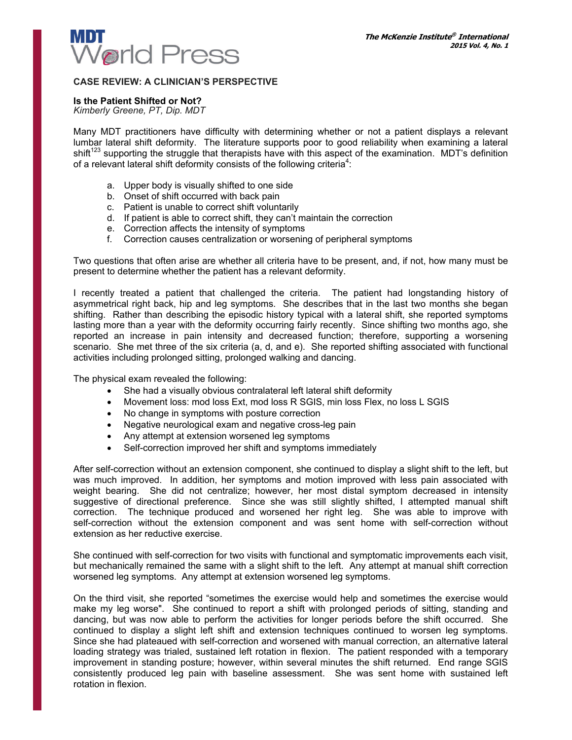

#### **CASE REVIEW: A CLINICIAN'S PERSPECTIVE**

#### **Is the Patient Shifted or Not?**

*Kimberly Greene, PT, Dip. MDT*

Many MDT practitioners have difficulty with determining whether or not a patient displays a relevant lumbar lateral shift deformity. The literature supports poor to good reliability when examining a lateral  $\sinh(1^{23}$  supporting the struggle that therapists have with this aspect of the examination. MDT's definition of a relevant lateral shift deformity consists of the following criteria<sup>4</sup>:

- a. Upper body is visually shifted to one side
- b. Onset of shift occurred with back pain
- c. Patient is unable to correct shift voluntarily
- d. If patient is able to correct shift, they can't maintain the correction
- e. Correction affects the intensity of symptoms
- f. Correction causes centralization or worsening of peripheral symptoms

Two questions that often arise are whether all criteria have to be present, and, if not, how many must be present to determine whether the patient has a relevant deformity.

I recently treated a patient that challenged the criteria. The patient had longstanding history of asymmetrical right back, hip and leg symptoms. She describes that in the last two months she began shifting. Rather than describing the episodic history typical with a lateral shift, she reported symptoms lasting more than a year with the deformity occurring fairly recently. Since shifting two months ago, she reported an increase in pain intensity and decreased function; therefore, supporting a worsening scenario. She met three of the six criteria (a, d, and e). She reported shifting associated with functional activities including prolonged sitting, prolonged walking and dancing.

The physical exam revealed the following:

- She had a visually obvious contralateral left lateral shift deformity
- Movement loss: mod loss Ext, mod loss R SGIS, min loss Flex, no loss L SGIS
- No change in symptoms with posture correction
- Negative neurological exam and negative cross-leg pain
- Any attempt at extension worsened leg symptoms
- Self-correction improved her shift and symptoms immediately

After self-correction without an extension component, she continued to display a slight shift to the left, but was much improved. In addition, her symptoms and motion improved with less pain associated with weight bearing. She did not centralize; however, her most distal symptom decreased in intensity suggestive of directional preference. Since she was still slightly shifted, I attempted manual shift correction. The technique produced and worsened her right leg. She was able to improve with self-correction without the extension component and was sent home with self-correction without extension as her reductive exercise.

She continued with self-correction for two visits with functional and symptomatic improvements each visit, but mechanically remained the same with a slight shift to the left. Any attempt at manual shift correction worsened leg symptoms. Any attempt at extension worsened leg symptoms.

On the third visit, she reported "sometimes the exercise would help and sometimes the exercise would make my leg worse". She continued to report a shift with prolonged periods of sitting, standing and dancing, but was now able to perform the activities for longer periods before the shift occurred. She continued to display a slight left shift and extension techniques continued to worsen leg symptoms. Since she had plateaued with self-correction and worsened with manual correction, an alternative lateral loading strategy was trialed, sustained left rotation in flexion. The patient responded with a temporary improvement in standing posture; however, within several minutes the shift returned. End range SGIS consistently produced leg pain with baseline assessment. She was sent home with sustained left rotation in flexion.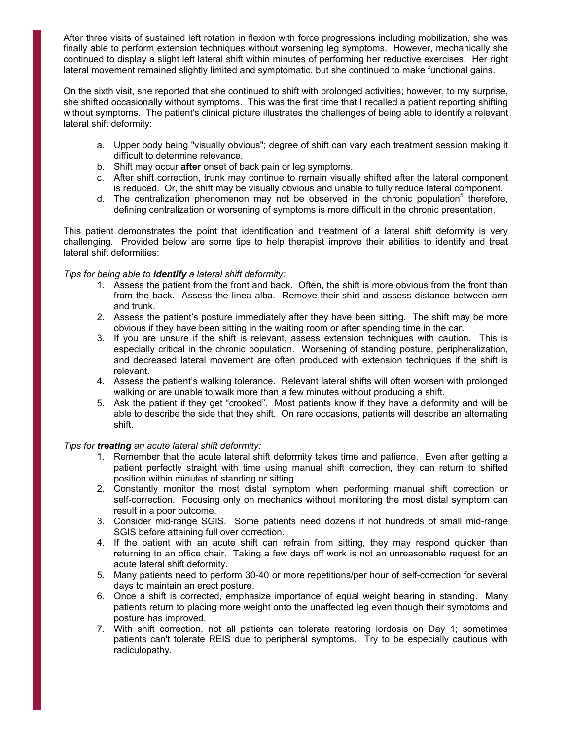After three visits of sustained left rotation in flexion with force progressions including mobilization, she was finally able to perform extension techniques without worsening leg symptoms. However, mechanically she continued to display a slight left lateral shift within minutes of performing her reductive exercises. Her right lateral movement remained slightly limited and symptomatic, but she continued to make functional gains.

On the sixth visit, she reported that she continued to shift with prolonged activities; however, to my surprise, she shifted occasionally without symptoms. This was the first time that I recalled a patient reporting shifting without symptoms. The patient's clinical picture illustrates the challenges of being able to identify a relevant lateral shift deformity:

- a. Upper body being "visually obvious"; degree of shift can vary each treatment session making it difficult to determine relevance.
- b. Shift may occur **after** onset of back pain or leg symptoms.
- c. After shift correction, trunk may continue to remain visually shifted after the lateral component is reduced. Or, the shift may be visually obvious and unable to fully reduce lateral component.
- d. The centralization phenomenon may not be observed in the chronic population<sup>5</sup> therefore, defining centralization or worsening of symptoms is more difficult in the chronic presentation.

This patient demonstrates the point that identification and treatment of a lateral shift deformity is very challenging. Provided below are some tips to help therapist improve their abilities to identify and treat lateral shift deformities:

#### *Tips for being able to identify a lateral shift deformity:*

- 1. Assess the patient from the front and back. Often, the shift is more obvious from the front than from the back. Assess the linea alba. Remove their shirt and assess distance between arm and trunk.
- 2. Assess the patient's posture immediately after they have been sitting. The shift may be more obvious if they have been sitting in the waiting room or after spending time in the car.
- 3. If you are unsure if the shift is relevant, assess extension techniques with caution. This is especially critical in the chronic population. Worsening of standing posture, peripheralization, and decreased lateral movement are often produced with extension techniques if the shift is relevant.
- 4. Assess the patient's walking tolerance. Relevant lateral shifts will often worsen with prolonged walking or are unable to walk more than a few minutes without producing a shift.
- 5. Ask the patient if they get "crooked". Most patients know if they have a deformity and will be able to describe the side that they shift. On rare occasions, patients will describe an alternating shift.

#### *Tips for treating an acute lateral shift deformity:*

- 1. Remember that the acute lateral shift deformity takes time and patience. Even after getting a patient perfectly straight with time using manual shift correction, they can return to shifted position within minutes of standing or sitting.
- 2. Constantly monitor the most distal symptom when performing manual shift correction or self-correction. Focusing only on mechanics without monitoring the most distal symptom can result in a poor outcome.
- 3. Consider mid-range SGIS. Some patients need dozens if not hundreds of small mid-range SGIS before attaining full over correction.
- 4. If the patient with an acute shift can refrain from sitting, they may respond quicker than returning to an office chair. Taking a few days off work is not an unreasonable request for an acute lateral shift deformity.
- 5. Many patients need to perform 30-40 or more repetitions/per hour of self-correction for several days to maintain an erect posture.
- 6. Once a shift is corrected, emphasize importance of equal weight bearing in standing. Many patients return to placing more weight onto the unaffected leg even though their symptoms and posture has improved.
- 7. With shift correction, not all patients can tolerate restoring lordosis on Day 1; sometimes patients can't tolerate REIS due to peripheral symptoms. Try to be especially cautious with radiculopathy.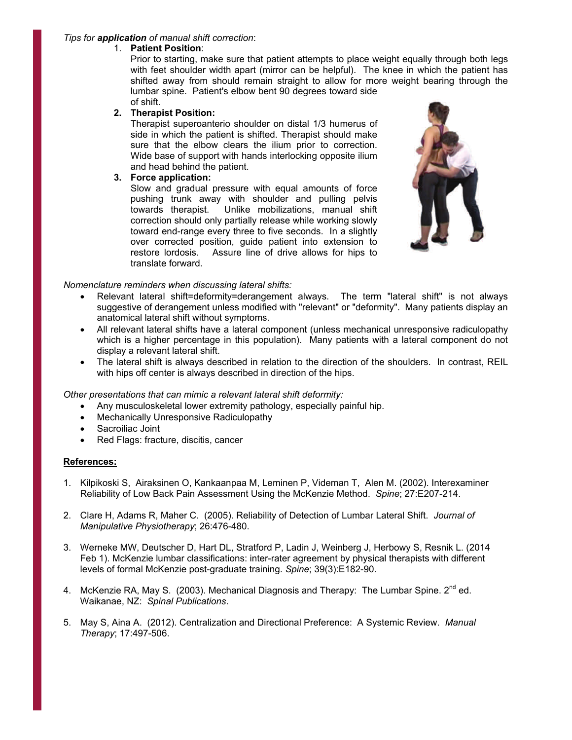#### *Tips for application of manual shift correction*:

## 1. **Patient Position**:

Prior to starting, make sure that patient attempts to place weight equally through both legs with feet shoulder width apart (mirror can be helpful). The knee in which the patient has shifted away from should remain straight to allow for more weight bearing through the lumbar spine. Patient's elbow bent 90 degrees toward side of shift.

## **2. Therapist Position:**

Therapist superoanterio shoulder on distal 1/3 humerus of side in which the patient is shifted. Therapist should make sure that the elbow clears the ilium prior to correction. Wide base of support with hands interlocking opposite ilium and head behind the patient.

## **3. Force application:**

Slow and gradual pressure with equal amounts of force pushing trunk away with shoulder and pulling pelvis towards therapist. Unlike mobilizations, manual shift correction should only partially release while working slowly toward end-range every three to five seconds. In a slightly over corrected position, guide patient into extension to restore lordosis. Assure line of drive allows for hips to translate forward.



## *Nomenclature reminders when discussing lateral shifts:*

- Relevant lateral shift=deformity=derangement always. The term "lateral shift" is not always suggestive of derangement unless modified with "relevant" or "deformity". Many patients display an anatomical lateral shift without symptoms.
- All relevant lateral shifts have a lateral component (unless mechanical unresponsive radiculopathy which is a higher percentage in this population). Many patients with a lateral component do not display a relevant lateral shift.
- The lateral shift is always described in relation to the direction of the shoulders. In contrast, REIL with hips off center is always described in direction of the hips.

## *Other presentations that can mimic a relevant lateral shift deformity:*

- Any musculoskeletal lower extremity pathology, especially painful hip.
- Mechanically Unresponsive Radiculopathy
- Sacroiliac Joint
- Red Flags: fracture, discitis, cancer

#### **References:**

- 1. Kilpikoski S, Airaksinen O, Kankaanpaa M, Leminen P, Videman T, Alen M. (2002). Interexaminer Reliability of Low Back Pain Assessment Using the McKenzie Method. *Spine*; 27:E207-214.
- 2. Clare H, Adams R, Maher C. (2005). Reliability of Detection of Lumbar Lateral Shift. *Journal of Manipulative Physiotherapy*; 26:476-480.
- 3. Werneke MW, Deutscher D, Hart DL, Stratford P, Ladin J, Weinberg J, Herbowy S, Resnik L. (2014 Feb 1). McKenzie lumbar classifications: inter-rater agreement by physical therapists with different levels of formal McKenzie post-graduate training. *Spine*; 39(3):E182-90.
- 4. McKenzie RA, May S. (2003). Mechanical Diagnosis and Therapy: The Lumbar Spine.  $2^{nd}$  ed. Waikanae, NZ: *Spinal Publications*.
- 5. May S, Aina A. (2012). Centralization and Directional Preference: A Systemic Review. *Manual Therapy*; 17:497-506.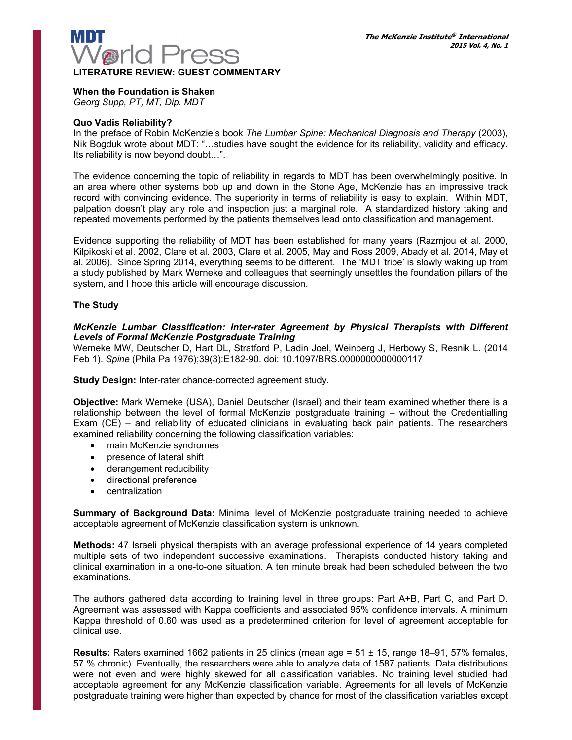

## **When the Foundation is Shaken**

*Georg Supp, PT, MT, Dip. MDT* 

#### **Quo Vadis Reliability?**

In the preface of Robin McKenzie's book *The Lumbar Spine: Mechanical Diagnosis and Therapy* (2003), Nik Bogduk wrote about MDT: "…studies have sought the evidence for its reliability, validity and efficacy. Its reliability is now beyond doubt…".

The evidence concerning the topic of reliability in regards to MDT has been overwhelmingly positive. In an area where other systems bob up and down in the Stone Age, McKenzie has an impressive track record with convincing evidence. The superiority in terms of reliability is easy to explain. Within MDT, palpation doesn't play any role and inspection just a marginal role. A standardized history taking and repeated movements performed by the patients themselves lead onto classification and management.

Evidence supporting the reliability of MDT has been established for many years (Razmjou et al. 2000, Kilpikoski et al. 2002, Clare et al. 2003, Clare et al. 2005, May and Ross 2009, Abady et al. 2014, May et al. 2006). Since Spring 2014, everything seems to be different. The 'MDT tribe' is slowly waking up from a study published by Mark Werneke and colleagues that seemingly unsettles the foundation pillars of the system, and I hope this article will encourage discussion.

#### **The Study**

#### *McKenzie Lumbar Classification: Inter-rater Agreement by Physical Therapists with Different Levels of Formal McKenzie Postgraduate Training*

Werneke MW, Deutscher D, Hart DL, Stratford P, Ladin Joel, Weinberg J, Herbowy S, Resnik L. (2014 Feb 1). *Spine* (Phila Pa 1976);39(3):E182-90. doi: 10.1097/BRS.0000000000000117

**Study Design:** Inter-rater chance-corrected agreement study.

**Objective:** Mark Werneke (USA), Daniel Deutscher (Israel) and their team examined whether there is a relationship between the level of formal McKenzie postgraduate training – without the Credentialling Exam (CE) – and reliability of educated clinicians in evaluating back pain patients. The researchers examined reliability concerning the following classification variables:

- main McKenzie syndromes
- presence of lateral shift
- derangement reducibility
- directional preference
- centralization

**Summary of Background Data:** Minimal level of McKenzie postgraduate training needed to achieve acceptable agreement of McKenzie classification system is unknown.

**Methods:** 47 Israeli physical therapists with an average professional experience of 14 years completed multiple sets of two independent successive examinations. Therapists conducted history taking and clinical examination in a one-to-one situation. A ten minute break had been scheduled between the two examinations.

The authors gathered data according to training level in three groups: Part A+B, Part C, and Part D. Agreement was assessed with Kappa coefficients and associated 95% confidence intervals. A minimum Kappa threshold of 0.60 was used as a predetermined criterion for level of agreement acceptable for clinical use.

**Results:** Raters examined 1662 patients in 25 clinics (mean age = 51 ± 15, range 18–91, 57% females, 57 % chronic). Eventually, the researchers were able to analyze data of 1587 patients. Data distributions were not even and were highly skewed for all classification variables. No training level studied had acceptable agreement for any McKenzie classification variable. Agreements for all levels of McKenzie postgraduate training were higher than expected by chance for most of the classification variables except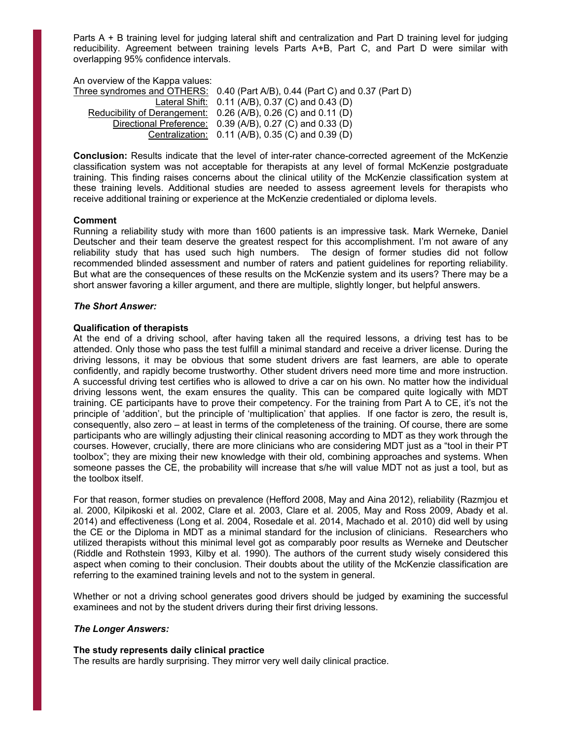Parts A + B training level for judging lateral shift and centralization and Part D training level for judging reducibility. Agreement between training levels Parts A+B, Part C, and Part D were similar with overlapping 95% confidence intervals.

An overview of the Kappa values:

Three syndromes and OTHERS: 0.40 (Part A/B), 0.44 (Part C) and 0.37 (Part D) Lateral Shift: 0.11 (A/B), 0.37 (C) and 0.43 (D) Reducibility of Derangement: 0.26 (A/B), 0.26 (C) and 0.11 (D) Directional Preference: 0.39 (A/B), 0.27 (C) and 0.33 (D) Centralization: 0.11 (A/B), 0.35 (C) and 0.39 (D)

**Conclusion:** Results indicate that the level of inter-rater chance-corrected agreement of the McKenzie classification system was not acceptable for therapists at any level of formal McKenzie postgraduate training. This finding raises concerns about the clinical utility of the McKenzie classification system at these training levels. Additional studies are needed to assess agreement levels for therapists who receive additional training or experience at the McKenzie credentialed or diploma levels.

#### **Comment**

Running a reliability study with more than 1600 patients is an impressive task. Mark Werneke, Daniel Deutscher and their team deserve the greatest respect for this accomplishment. I'm not aware of any reliability study that has used such high numbers. The design of former studies did not follow recommended blinded assessment and number of raters and patient guidelines for reporting reliability. But what are the consequences of these results on the McKenzie system and its users? There may be a short answer favoring a killer argument, and there are multiple, slightly longer, but helpful answers.

#### *The Short Answer:*

#### **Qualification of therapists**

At the end of a driving school, after having taken all the required lessons, a driving test has to be attended. Only those who pass the test fulfill a minimal standard and receive a driver license. During the driving lessons, it may be obvious that some student drivers are fast learners, are able to operate confidently, and rapidly become trustworthy. Other student drivers need more time and more instruction. A successful driving test certifies who is allowed to drive a car on his own. No matter how the individual driving lessons went, the exam ensures the quality. This can be compared quite logically with MDT training. CE participants have to prove their competency. For the training from Part A to CE, it's not the principle of 'addition', but the principle of 'multiplication' that applies. If one factor is zero, the result is, consequently, also zero – at least in terms of the completeness of the training. Of course, there are some participants who are willingly adjusting their clinical reasoning according to MDT as they work through the courses. However, crucially, there are more clinicians who are considering MDT just as a "tool in their PT toolbox"; they are mixing their new knowledge with their old, combining approaches and systems. When someone passes the CE, the probability will increase that s/he will value MDT not as just a tool, but as the toolbox itself.

For that reason, former studies on prevalence (Hefford 2008, May and Aina 2012), reliability (Razmjou et al. 2000, Kilpikoski et al. 2002, Clare et al. 2003, Clare et al. 2005, May and Ross 2009, Abady et al. 2014) and effectiveness (Long et al. 2004, Rosedale et al. 2014, Machado et al. 2010) did well by using the CE or the Diploma in MDT as a minimal standard for the inclusion of clinicians. Researchers who utilized therapists without this minimal level got as comparably poor results as Werneke and Deutscher (Riddle and Rothstein 1993, Kilby et al. 1990). The authors of the current study wisely considered this aspect when coming to their conclusion. Their doubts about the utility of the McKenzie classification are referring to the examined training levels and not to the system in general.

Whether or not a driving school generates good drivers should be judged by examining the successful examinees and not by the student drivers during their first driving lessons.

#### *The Longer Answers:*

#### **The study represents daily clinical practice**

The results are hardly surprising. They mirror very well daily clinical practice.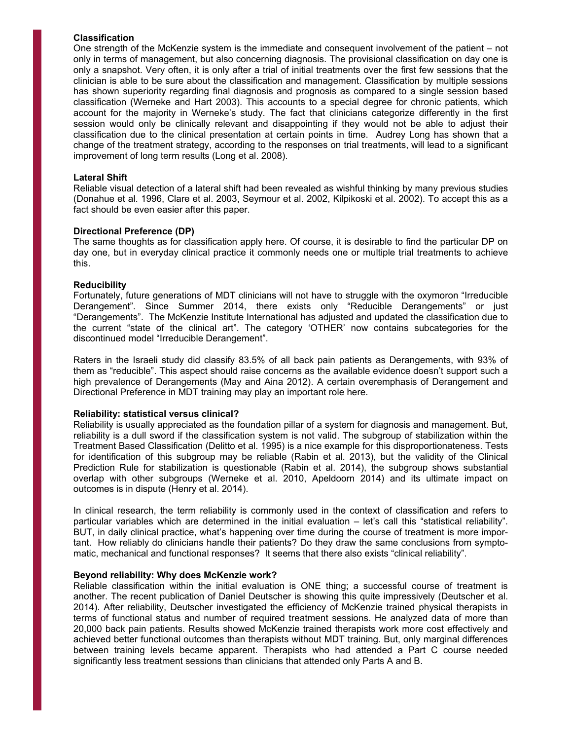#### **Classification**

One strength of the McKenzie system is the immediate and consequent involvement of the patient – not only in terms of management, but also concerning diagnosis. The provisional classification on day one is only a snapshot. Very often, it is only after a trial of initial treatments over the first few sessions that the clinician is able to be sure about the classification and management. Classification by multiple sessions has shown superiority regarding final diagnosis and prognosis as compared to a single session based classification (Werneke and Hart 2003). This accounts to a special degree for chronic patients, which account for the majority in Werneke's study. The fact that clinicians categorize differently in the first session would only be clinically relevant and disappointing if they would not be able to adjust their classification due to the clinical presentation at certain points in time. Audrey Long has shown that a change of the treatment strategy, according to the responses on trial treatments, will lead to a significant improvement of long term results (Long et al. 2008).

#### **Lateral Shift**

Reliable visual detection of a lateral shift had been revealed as wishful thinking by many previous studies (Donahue et al. 1996, Clare et al. 2003, Seymour et al. 2002, Kilpikoski et al. 2002). To accept this as a fact should be even easier after this paper.

#### **Directional Preference (DP)**

The same thoughts as for classification apply here. Of course, it is desirable to find the particular DP on day one, but in everyday clinical practice it commonly needs one or multiple trial treatments to achieve this.

#### **Reducibility**

Fortunately, future generations of MDT clinicians will not have to struggle with the oxymoron "Irreducible Derangement". Since Summer 2014, there exists only "Reducible Derangements" or just "Derangements". The McKenzie Institute International has adjusted and updated the classification due to the current "state of the clinical art". The category 'OTHER' now contains subcategories for the discontinued model "Irreducible Derangement".

Raters in the Israeli study did classify 83.5% of all back pain patients as Derangements, with 93% of them as "reducible". This aspect should raise concerns as the available evidence doesn't support such a high prevalence of Derangements (May and Aina 2012). A certain overemphasis of Derangement and Directional Preference in MDT training may play an important role here.

#### **Reliability: statistical versus clinical?**

Reliability is usually appreciated as the foundation pillar of a system for diagnosis and management. But, reliability is a dull sword if the classification system is not valid. The subgroup of stabilization within the Treatment Based Classification (Delitto et al. 1995) is a nice example for this disproportionateness. Tests for identification of this subgroup may be reliable (Rabin et al. 2013), but the validity of the Clinical Prediction Rule for stabilization is questionable (Rabin et al. 2014), the subgroup shows substantial overlap with other subgroups (Werneke et al. 2010, Apeldoorn 2014) and its ultimate impact on outcomes is in dispute (Henry et al. 2014).

In clinical research, the term reliability is commonly used in the context of classification and refers to particular variables which are determined in the initial evaluation – let's call this "statistical reliability". BUT, in daily clinical practice, what's happening over time during the course of treatment is more important. How reliably do clinicians handle their patients? Do they draw the same conclusions from symptomatic, mechanical and functional responses? It seems that there also exists "clinical reliability".

#### **Beyond reliability: Why does McKenzie work?**

Reliable classification within the initial evaluation is ONE thing; a successful course of treatment is another. The recent publication of Daniel Deutscher is showing this quite impressively (Deutscher et al. 2014). After reliability, Deutscher investigated the efficiency of McKenzie trained physical therapists in terms of functional status and number of required treatment sessions. He analyzed data of more than 20,000 back pain patients. Results showed McKenzie trained therapists work more cost effectively and achieved better functional outcomes than therapists without MDT training. But, only marginal differences between training levels became apparent. Therapists who had attended a Part C course needed significantly less treatment sessions than clinicians that attended only Parts A and B.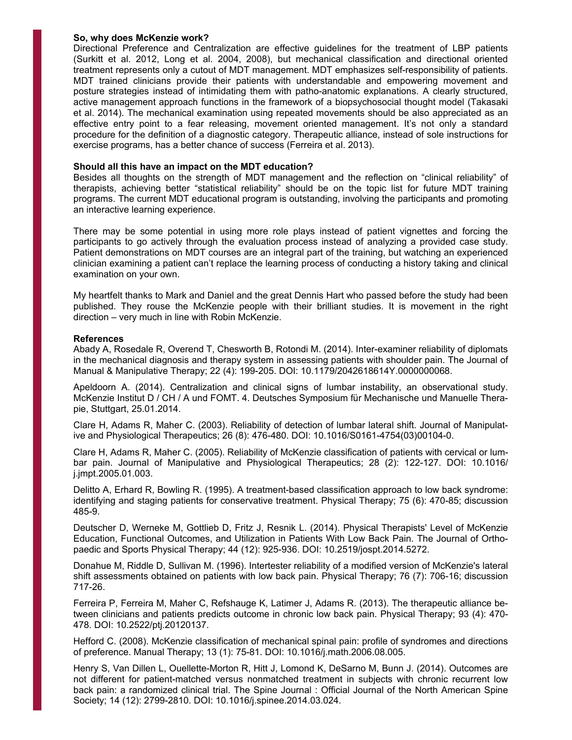#### **So, why does McKenzie work?**

Directional Preference and Centralization are effective guidelines for the treatment of LBP patients (Surkitt et al. 2012, Long et al. 2004, 2008), but mechanical classification and directional oriented treatment represents only a cutout of MDT management. MDT emphasizes self-responsibility of patients. MDT trained clinicians provide their patients with understandable and empowering movement and posture strategies instead of intimidating them with patho-anatomic explanations. A clearly structured, active management approach functions in the framework of a biopsychosocial thought model (Takasaki et al. 2014). The mechanical examination using repeated movements should be also appreciated as an effective entry point to a fear releasing, movement oriented management. It's not only a standard procedure for the definition of a diagnostic category. Therapeutic alliance, instead of sole instructions for exercise programs, has a better chance of success (Ferreira et al. 2013).

#### **Should all this have an impact on the MDT education?**

Besides all thoughts on the strength of MDT management and the reflection on "clinical reliability" of therapists, achieving better "statistical reliability" should be on the topic list for future MDT training programs. The current MDT educational program is outstanding, involving the participants and promoting an interactive learning experience.

There may be some potential in using more role plays instead of patient vignettes and forcing the participants to go actively through the evaluation process instead of analyzing a provided case study. Patient demonstrations on MDT courses are an integral part of the training, but watching an experienced clinician examining a patient can't replace the learning process of conducting a history taking and clinical examination on your own.

My heartfelt thanks to Mark and Daniel and the great Dennis Hart who passed before the study had been published. They rouse the McKenzie people with their brilliant studies. It is movement in the right direction – very much in line with Robin McKenzie.

#### **References**

Abady A, Rosedale R, Overend T, Chesworth B, Rotondi M. (2014). Inter-examiner reliability of diplomats in the mechanical diagnosis and therapy system in assessing patients with shoulder pain. The Journal of Manual & Manipulative Therapy; 22 (4): 199-205. DOI: 10.1179/2042618614Y.0000000068.

Apeldoorn A. (2014). Centralization and clinical signs of lumbar instability, an observational study. McKenzie Institut D / CH / A und FOMT. 4. Deutsches Symposium für Mechanische und Manuelle Therapie, Stuttgart, 25.01.2014.

Clare H, Adams R, Maher C. (2003). Reliability of detection of lumbar lateral shift. Journal of Manipulative and Physiological Therapeutics; 26 (8): 476-480. DOI: 10.1016/S0161-4754(03)00104-0.

Clare H, Adams R, Maher C. (2005). Reliability of McKenzie classification of patients with cervical or lumbar pain. Journal of Manipulative and Physiological Therapeutics; 28 (2): 122-127. DOI: 10.1016/ j.jmpt.2005.01.003.

Delitto A, Erhard R, Bowling R. (1995). A treatment-based classification approach to low back syndrome: identifying and staging patients for conservative treatment. Physical Therapy; 75 (6): 470-85; discussion 485-9.

Deutscher D, Werneke M, Gottlieb D, Fritz J, Resnik L. (2014). Physical Therapists' Level of McKenzie Education, Functional Outcomes, and Utilization in Patients With Low Back Pain. The Journal of Orthopaedic and Sports Physical Therapy; 44 (12): 925-936. DOI: 10.2519/jospt.2014.5272.

Donahue M, Riddle D, Sullivan M. (1996). Intertester reliability of a modified version of McKenzie's lateral shift assessments obtained on patients with low back pain. Physical Therapy; 76 (7): 706-16; discussion 717-26.

Ferreira P, Ferreira M, Maher C, Refshauge K, Latimer J, Adams R. (2013). The therapeutic alliance between clinicians and patients predicts outcome in chronic low back pain. Physical Therapy; 93 (4): 470- 478. DOI: 10.2522/ptj.20120137.

Hefford C. (2008). McKenzie classification of mechanical spinal pain: profile of syndromes and directions of preference. Manual Therapy; 13 (1): 75-81. DOI: 10.1016/j.math.2006.08.005.

Henry S, Van Dillen L, Ouellette-Morton R, Hitt J, Lomond K, DeSarno M, Bunn J. (2014). Outcomes are not different for patient-matched versus nonmatched treatment in subjects with chronic recurrent low back pain: a randomized clinical trial. The Spine Journal : Official Journal of the North American Spine Society; 14 (12): 2799-2810. DOI: 10.1016/j.spinee.2014.03.024.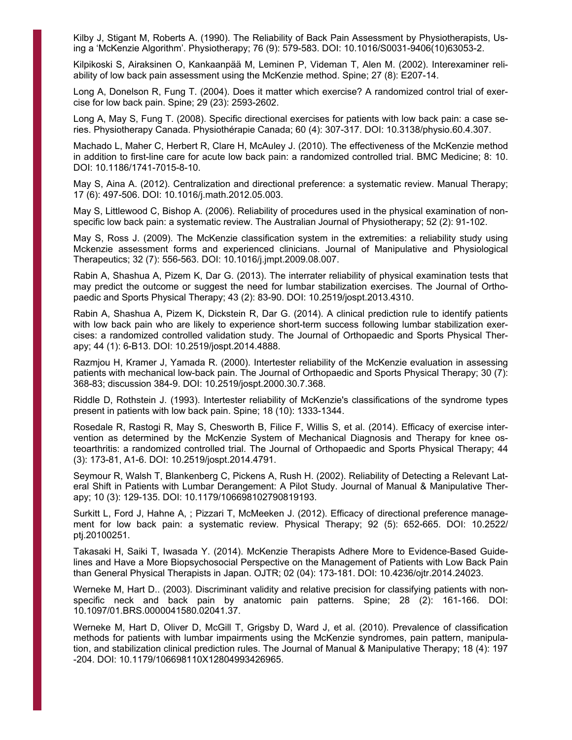Kilby J, Stigant M, Roberts A. (1990). The Reliability of Back Pain Assessment by Physiotherapists, Using a 'McKenzie Algorithm'. Physiotherapy; 76 (9): 579-583. DOI: 10.1016/S0031-9406(10)63053-2.

Kilpikoski S, Airaksinen O, Kankaanpää M, Leminen P, Videman T, Alen M. (2002). Interexaminer reliability of low back pain assessment using the McKenzie method. Spine; 27 (8): E207-14.

Long A, Donelson R, Fung T. (2004). Does it matter which exercise? A randomized control trial of exercise for low back pain. Spine; 29 (23): 2593-2602.

Long A, May S, Fung T. (2008). Specific directional exercises for patients with low back pain: a case series. Physiotherapy Canada. Physiothérapie Canada; 60 (4): 307-317. DOI: 10.3138/physio.60.4.307.

Machado L, Maher C, Herbert R, Clare H, McAuley J. (2010). The effectiveness of the McKenzie method in addition to first-line care for acute low back pain: a randomized controlled trial. BMC Medicine; 8: 10. DOI: 10.1186/1741-7015-8-10.

May S, Aina A. (2012). Centralization and directional preference: a systematic review. Manual Therapy; 17 (6): 497-506. DOI: 10.1016/j.math.2012.05.003.

May S, Littlewood C, Bishop A. (2006). Reliability of procedures used in the physical examination of nonspecific low back pain: a systematic review. The Australian Journal of Physiotherapy; 52 (2): 91-102.

May S, Ross J. (2009). The McKenzie classification system in the extremities: a reliability study using Mckenzie assessment forms and experienced clinicians. Journal of Manipulative and Physiological Therapeutics; 32 (7): 556-563. DOI: 10.1016/j.jmpt.2009.08.007.

Rabin A, Shashua A, Pizem K, Dar G. (2013). The interrater reliability of physical examination tests that may predict the outcome or suggest the need for lumbar stabilization exercises. The Journal of Orthopaedic and Sports Physical Therapy; 43 (2): 83-90. DOI: 10.2519/jospt.2013.4310.

Rabin A, Shashua A, Pizem K, Dickstein R, Dar G. (2014). A clinical prediction rule to identify patients with low back pain who are likely to experience short-term success following lumbar stabilization exercises: a randomized controlled validation study. The Journal of Orthopaedic and Sports Physical Therapy; 44 (1): 6-B13. DOI: 10.2519/jospt.2014.4888.

Razmjou H, Kramer J, Yamada R. (2000). Intertester reliability of the McKenzie evaluation in assessing patients with mechanical low-back pain. The Journal of Orthopaedic and Sports Physical Therapy; 30 (7): 368-83; discussion 384-9. DOI: 10.2519/jospt.2000.30.7.368.

Riddle D, Rothstein J. (1993). Intertester reliability of McKenzie's classifications of the syndrome types present in patients with low back pain. Spine; 18 (10): 1333-1344.

Rosedale R, Rastogi R, May S, Chesworth B, Filice F, Willis S, et al. (2014). Efficacy of exercise intervention as determined by the McKenzie System of Mechanical Diagnosis and Therapy for knee osteoarthritis: a randomized controlled trial. The Journal of Orthopaedic and Sports Physical Therapy; 44 (3): 173-81, A1-6. DOI: 10.2519/jospt.2014.4791.

Seymour R, Walsh T, Blankenberg C, Pickens A, Rush H. (2002). Reliability of Detecting a Relevant Lateral Shift in Patients with Lumbar Derangement: A Pilot Study. Journal of Manual & Manipulative Therapy; 10 (3): 129-135. DOI: 10.1179/106698102790819193.

Surkitt L, Ford J, Hahne A, ; Pizzari T, McMeeken J. (2012). Efficacy of directional preference management for low back pain: a systematic review. Physical Therapy; 92 (5): 652-665. DOI: 10.2522/ ptj.20100251.

Takasaki H, Saiki T, Iwasada Y. (2014). McKenzie Therapists Adhere More to Evidence-Based Guidelines and Have a More Biopsychosocial Perspective on the Management of Patients with Low Back Pain than General Physical Therapists in Japan. OJTR; 02 (04): 173-181. DOI: 10.4236/ojtr.2014.24023.

Werneke M, Hart D.. (2003). Discriminant validity and relative precision for classifying patients with nonspecific neck and back pain by anatomic pain patterns. Spine; 28 (2): 161-166. DOI: 10.1097/01.BRS.0000041580.02041.37.

Werneke M, Hart D, Oliver D, McGill T, Grigsby D, Ward J, et al. (2010). Prevalence of classification methods for patients with lumbar impairments using the McKenzie syndromes, pain pattern, manipulation, and stabilization clinical prediction rules. The Journal of Manual & Manipulative Therapy; 18 (4): 197 -204. DOI: 10.1179/106698110X12804993426965.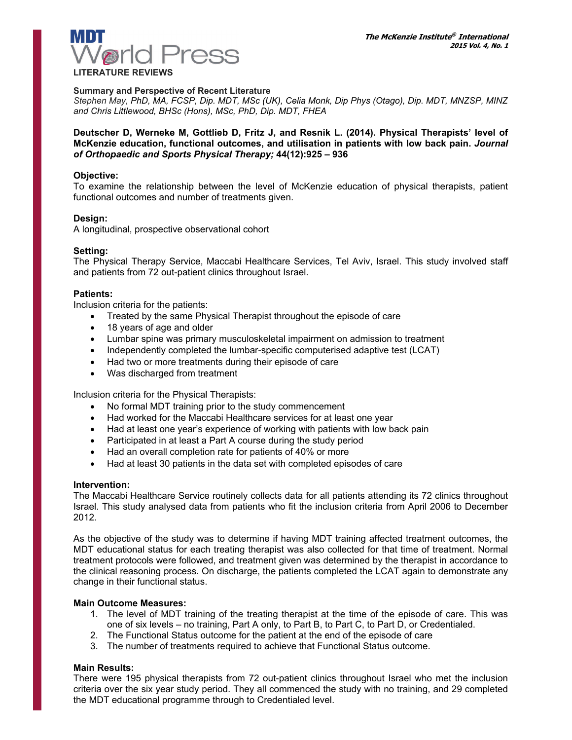

#### **LITERATURE REVIEWS**

#### **Summary and Perspective of Recent Literature**

*Stephen May, PhD, MA, FCSP, Dip. MDT, MSc (UK), Celia Monk, Dip Phys (Otago), Dip. MDT, MNZSP, MINZ and Chris Littlewood, BHSc (Hons), MSc, PhD, Dip. MDT, FHEA*

#### **Deutscher D, Werneke M, Gottlieb D, Fritz J, and Resnik L. (2014). Physical Therapists' level of McKenzie education, functional outcomes, and utilisation in patients with low back pain.** *Journal of Orthopaedic and Sports Physical Therapy;* **44(12):925 – 936**

#### **Objective:**

To examine the relationship between the level of McKenzie education of physical therapists, patient functional outcomes and number of treatments given.

#### **Design:**

A longitudinal, prospective observational cohort

#### **Setting:**

The Physical Therapy Service, Maccabi Healthcare Services, Tel Aviv, Israel. This study involved staff and patients from 72 out-patient clinics throughout Israel.

#### **Patients:**

Inclusion criteria for the patients:

- Treated by the same Physical Therapist throughout the episode of care
- 18 years of age and older
- Lumbar spine was primary musculoskeletal impairment on admission to treatment
- Independently completed the lumbar-specific computerised adaptive test (LCAT)
- Had two or more treatments during their episode of care
- Was discharged from treatment

Inclusion criteria for the Physical Therapists:

- No formal MDT training prior to the study commencement
- Had worked for the Maccabi Healthcare services for at least one year
- Had at least one year's experience of working with patients with low back pain
- Participated in at least a Part A course during the study period
- Had an overall completion rate for patients of 40% or more
- Had at least 30 patients in the data set with completed episodes of care

#### **Intervention:**

The Maccabi Healthcare Service routinely collects data for all patients attending its 72 clinics throughout Israel. This study analysed data from patients who fit the inclusion criteria from April 2006 to December 2012.

As the objective of the study was to determine if having MDT training affected treatment outcomes, the MDT educational status for each treating therapist was also collected for that time of treatment. Normal treatment protocols were followed, and treatment given was determined by the therapist in accordance to the clinical reasoning process. On discharge, the patients completed the LCAT again to demonstrate any change in their functional status.

#### **Main Outcome Measures:**

- 1. The level of MDT training of the treating therapist at the time of the episode of care. This was one of six levels – no training, Part A only, to Part B, to Part C, to Part D, or Credentialed.
- 2. The Functional Status outcome for the patient at the end of the episode of care
- 3. The number of treatments required to achieve that Functional Status outcome.

#### **Main Results:**

There were 195 physical therapists from 72 out-patient clinics throughout Israel who met the inclusion criteria over the six year study period. They all commenced the study with no training, and 29 completed the MDT educational programme through to Credentialed level.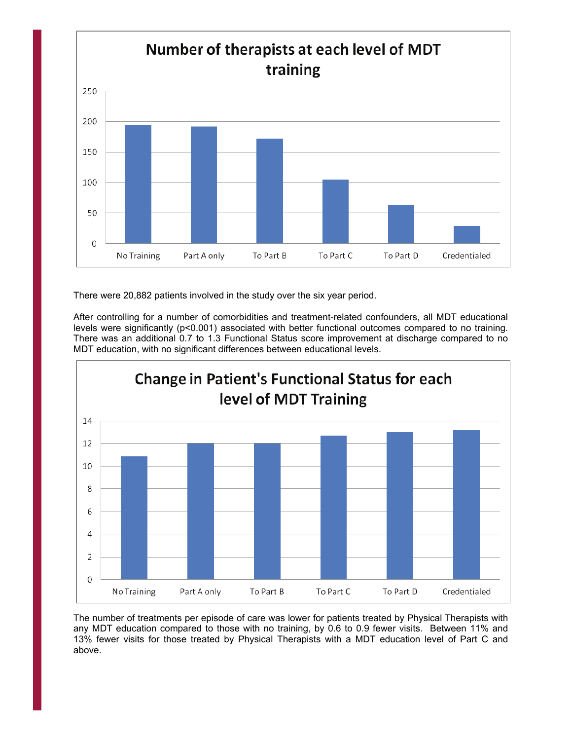

There were 20,882 patients involved in the study over the six year period.

After controlling for a number of comorbidities and treatment-related confounders, all MDT educational levels were significantly (p<0.001) associated with better functional outcomes compared to no training. There was an additional 0.7 to 1.3 Functional Status score improvement at discharge compared to no MDT education, with no significant differences between educational levels.



The number of treatments per episode of care was lower for patients treated by Physical Therapists with any MDT education compared to those with no training, by 0.6 to 0.9 fewer visits. Between 11% and 13% fewer visits for those treated by Physical Therapists with a MDT education level of Part C and above.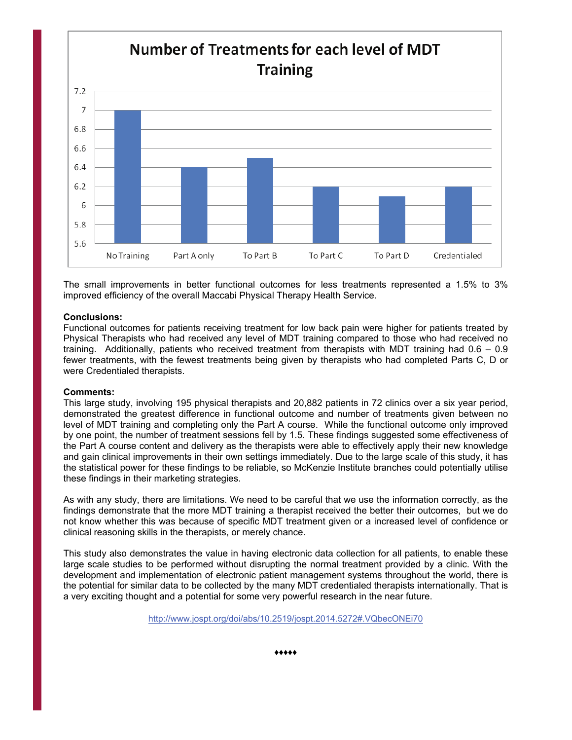

The small improvements in better functional outcomes for less treatments represented a 1.5% to 3% improved efficiency of the overall Maccabi Physical Therapy Health Service.

#### **Conclusions:**

Functional outcomes for patients receiving treatment for low back pain were higher for patients treated by Physical Therapists who had received any level of MDT training compared to those who had received no training. Additionally, patients who received treatment from therapists with MDT training had 0.6 – 0.9 fewer treatments, with the fewest treatments being given by therapists who had completed Parts C, D or were Credentialed therapists.

#### **Comments:**

This large study, involving 195 physical therapists and 20,882 patients in 72 clinics over a six year period, demonstrated the greatest difference in functional outcome and number of treatments given between no level of MDT training and completing only the Part A course. While the functional outcome only improved by one point, the number of treatment sessions fell by 1.5. These findings suggested some effectiveness of the Part A course content and delivery as the therapists were able to effectively apply their new knowledge and gain clinical improvements in their own settings immediately. Due to the large scale of this study, it has the statistical power for these findings to be reliable, so McKenzie Institute branches could potentially utilise these findings in their marketing strategies.

As with any study, there are limitations. We need to be careful that we use the information correctly, as the findings demonstrate that the more MDT training a therapist received the better their outcomes, but we do not know whether this was because of specific MDT treatment given or a increased level of confidence or clinical reasoning skills in the therapists, or merely chance.

This study also demonstrates the value in having electronic data collection for all patients, to enable these large scale studies to be performed without disrupting the normal treatment provided by a clinic. With the development and implementation of electronic patient management systems throughout the world, there is the potential for similar data to be collected by the many MDT credentialed therapists internationally. That is a very exciting thought and a potential for some very powerful research in the near future.

<http://www.jospt.org/doi/abs/10.2519/jospt.2014.5272#.VQbecONEi70>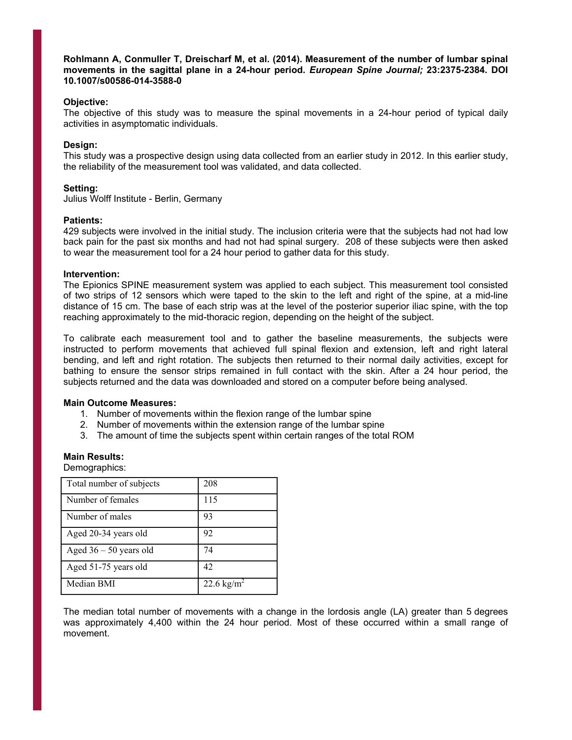**Rohlmann A, Conmuller T, Dreischarf M, et al. (2014). Measurement of the number of lumbar spinal movements in the sagittal plane in a 24-hour period.** *European Spine Journal;* **23:2375-2384. DOI 10.1007/s00586-014-3588-0** 

#### **Objective:**

The objective of this study was to measure the spinal movements in a 24-hour period of typical daily activities in asymptomatic individuals.

#### **Design:**

This study was a prospective design using data collected from an earlier study in 2012. In this earlier study, the reliability of the measurement tool was validated, and data collected.

#### **Setting:**

Julius Wolff Institute - Berlin, Germany

#### **Patients:**

429 subjects were involved in the initial study. The inclusion criteria were that the subjects had not had low back pain for the past six months and had not had spinal surgery. 208 of these subjects were then asked to wear the measurement tool for a 24 hour period to gather data for this study.

#### **Intervention:**

The Epionics SPINE measurement system was applied to each subject. This measurement tool consisted of two strips of 12 sensors which were taped to the skin to the left and right of the spine, at a mid-line distance of 15 cm. The base of each strip was at the level of the posterior superior iliac spine, with the top reaching approximately to the mid-thoracic region, depending on the height of the subject.

To calibrate each measurement tool and to gather the baseline measurements, the subjects were instructed to perform movements that achieved full spinal flexion and extension, left and right lateral bending, and left and right rotation. The subjects then returned to their normal daily activities, except for bathing to ensure the sensor strips remained in full contact with the skin. After a 24 hour period, the subjects returned and the data was downloaded and stored on a computer before being analysed.

#### **Main Outcome Measures:**

- 1. Number of movements within the flexion range of the lumbar spine
- 2. Number of movements within the extension range of the lumbar spine
- 3. The amount of time the subjects spent within certain ranges of the total ROM

#### **Main Results:**

Demographics:

| Total number of subjects | 208                    |
|--------------------------|------------------------|
| Number of females        | 115                    |
| Number of males          | 93                     |
| Aged 20-34 years old     | 92                     |
| Aged $36 - 50$ years old | 74                     |
| Aged 51-75 years old     | 42                     |
| Median BMI               | 22.6 kg/m <sup>2</sup> |

The median total number of movements with a change in the lordosis angle (LA) greater than 5 degrees was approximately 4,400 within the 24 hour period. Most of these occurred within a small range of movement.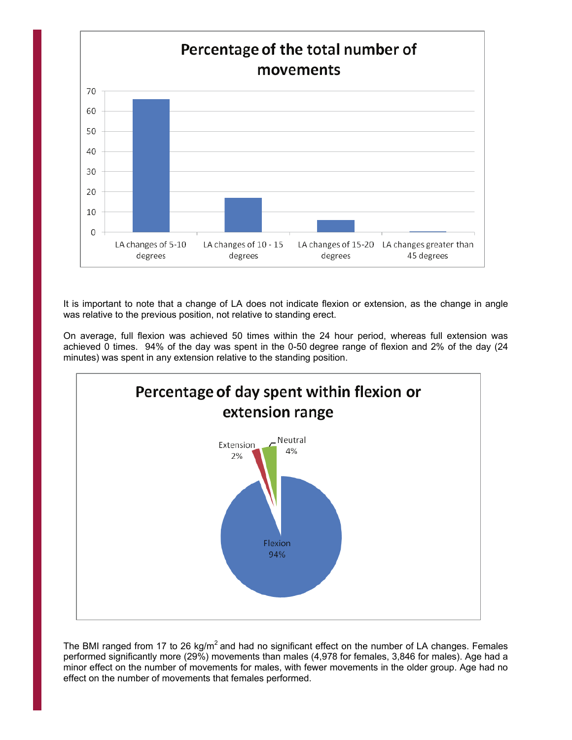

It is important to note that a change of LA does not indicate flexion or extension, as the change in angle was relative to the previous position, not relative to standing erect.

On average, full flexion was achieved 50 times within the 24 hour period, whereas full extension was achieved 0 times. 94% of the day was spent in the 0-50 degree range of flexion and 2% of the day (24 minutes) was spent in any extension relative to the standing position.



The BMI ranged from 17 to 26 kg/m<sup>2</sup> and had no significant effect on the number of LA changes. Females performed significantly more (29%) movements than males (4,978 for females, 3,846 for males). Age had a minor effect on the number of movements for males, with fewer movements in the older group. Age had no effect on the number of movements that females performed.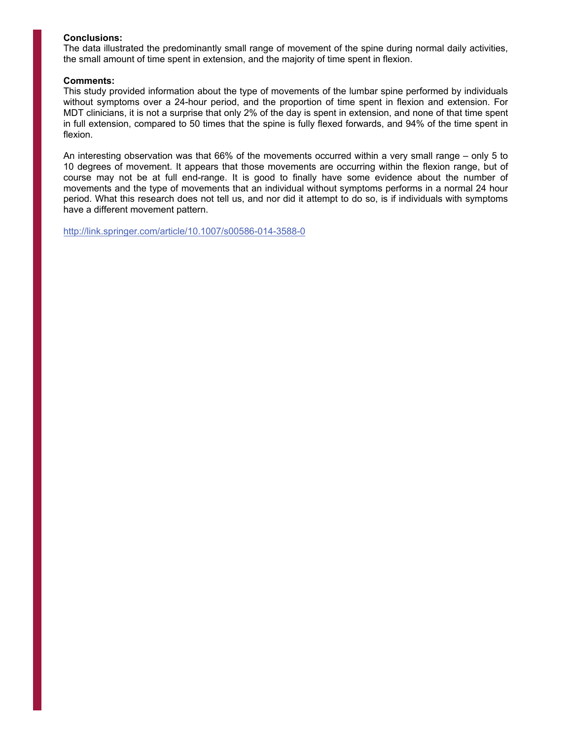#### **Conclusions:**

The data illustrated the predominantly small range of movement of the spine during normal daily activities, the small amount of time spent in extension, and the majority of time spent in flexion.

#### **Comments:**

This study provided information about the type of movements of the lumbar spine performed by individuals without symptoms over a 24-hour period, and the proportion of time spent in flexion and extension. For MDT clinicians, it is not a surprise that only 2% of the day is spent in extension, and none of that time spent in full extension, compared to 50 times that the spine is fully flexed forwards, and 94% of the time spent in flexion.

An interesting observation was that 66% of the movements occurred within a very small range – only 5 to 10 degrees of movement. It appears that those movements are occurring within the flexion range, but of course may not be at full end-range. It is good to finally have some evidence about the number of movements and the type of movements that an individual without symptoms performs in a normal 24 hour period. What this research does not tell us, and nor did it attempt to do so, is if individuals with symptoms have a different movement pattern.

<http://link.springer.com/article/10.1007/s00586-014-3588-0>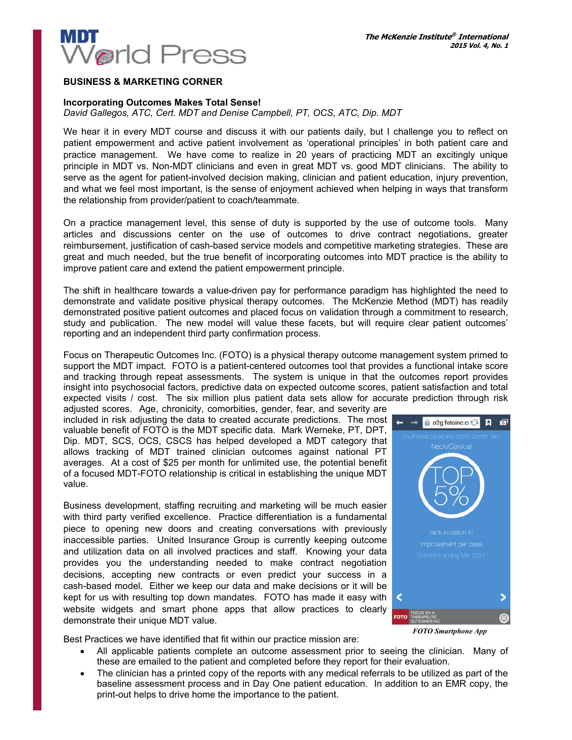

#### **BUSINESS & MARKETING CORNER**

#### **Incorporating Outcomes Makes Total Sense!**

*David Gallegos, ATC, Cert. MDT and Denise Campbell, PT, OCS, ATC, Dip. MDT*

We hear it in every MDT course and discuss it with our patients daily, but I challenge you to reflect on patient empowerment and active patient involvement as 'operational principles' in both patient care and practice management. We have come to realize in 20 years of practicing MDT an excitingly unique principle in MDT vs. Non-MDT clinicians and even in great MDT vs. good MDT clinicians. The ability to serve as the agent for patient-involved decision making, clinician and patient education, injury prevention, and what we feel most important, is the sense of enjoyment achieved when helping in ways that transform the relationship from provider/patient to coach/teammate.

On a practice management level, this sense of duty is supported by the use of outcome tools. Many articles and discussions center on the use of outcomes to drive contract negotiations, greater reimbursement, justification of cash-based service models and competitive marketing strategies. These are great and much needed, but the true benefit of incorporating outcomes into MDT practice is the ability to improve patient care and extend the patient empowerment principle.

The shift in healthcare towards a value-driven pay for performance paradigm has highlighted the need to demonstrate and validate positive physical therapy outcomes. The McKenzie Method (MDT) has readily demonstrated positive patient outcomes and placed focus on validation through a commitment to research, study and publication. The new model will value these facets, but will require clear patient outcomes' reporting and an independent third party confirmation process.

Focus on Therapeutic Outcomes Inc. (FOTO) is a physical therapy outcome management system primed to support the MDT impact. FOTO is a patient-centered outcomes tool that provides a functional intake score and tracking through repeat assessments. The system is unique in that the outcomes report provides insight into psychosocial factors, predictive data on expected outcome scores, patient satisfaction and total expected visits / cost. The six million plus patient data sets allow for accurate prediction through risk

adjusted scores. Age, chronicity, comorbities, gender, fear, and severity are included in risk adjusting the data to created accurate predictions. The most valuable benefit of FOTO is the MDT specific data. Mark Werneke, PT, DPT, Dip. MDT, SCS, OCS, CSCS has helped developed a MDT category that allows tracking of MDT trained clinician outcomes against national PT averages. At a cost of \$25 per month for unlimited use, the potential benefit of a focused MDT-FOTO relationship is critical in establishing the unique MDT value.

Business development, staffing recruiting and marketing will be much easier with third party verified excellence. Practice differentiation is a fundamental piece to opening new doors and creating conversations with previously inaccessible parties. United Insurance Group is currently keeping outcome and utilization data on all involved practices and staff. Knowing your data provides you the understanding needed to make contract negotiation decisions, accepting new contracts or even predict your success in a cash-based model. Either we keep our data and make decisions or it will be kept for us with resulting top down mandates. FOTO has made it easy with website widgets and smart phone apps that allow practices to clearly demonstrate their unique MDT value.



Best Practices we have identified that fit within our practice mission are:

- All applicable patients complete an outcome assessment prior to seeing the clinician. Many of these are emailed to the patient and completed before they report for their evaluation.
- The clinician has a printed copy of the reports with any medical referrals to be utilized as part of the baseline assessment process and in Day One patient education. In addition to an EMR copy, the print-out helps to drive home the importance to the patient.